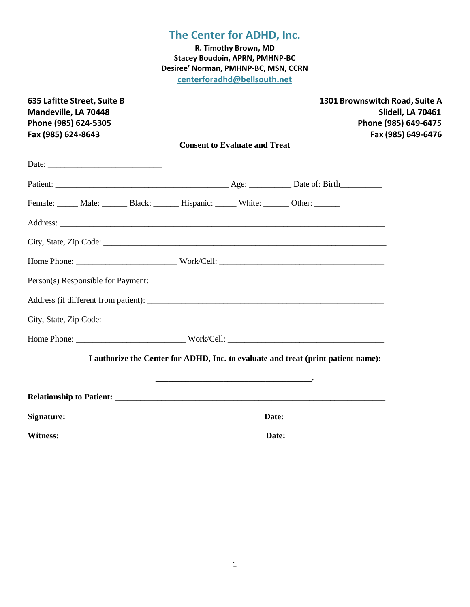**R. Timothy Brown, MD Stacey Boudoin, APRN, PMHNP-BC Desiree' Norman, PMHNP-BC, MSN, CCRN centerforadhd@bellsouth.net**

| 635 Lafitte Street, Suite B<br>Mandeville, LA 70448<br>Phone (985) 624-5305<br>Fax (985) 624-8643 |                                                                                   |  | 1301 Brownswitch Road, Suite A<br>Slidell, LA 70461<br>Phone (985) 649-6475<br>Fax (985) 649-6476 |
|---------------------------------------------------------------------------------------------------|-----------------------------------------------------------------------------------|--|---------------------------------------------------------------------------------------------------|
|                                                                                                   | <b>Consent to Evaluate and Treat</b>                                              |  |                                                                                                   |
|                                                                                                   |                                                                                   |  |                                                                                                   |
|                                                                                                   |                                                                                   |  |                                                                                                   |
| Female: Male: Black: Hispanic: White: Other: ______                                               |                                                                                   |  |                                                                                                   |
|                                                                                                   |                                                                                   |  |                                                                                                   |
|                                                                                                   |                                                                                   |  |                                                                                                   |
|                                                                                                   |                                                                                   |  |                                                                                                   |
|                                                                                                   |                                                                                   |  |                                                                                                   |
|                                                                                                   |                                                                                   |  |                                                                                                   |
|                                                                                                   |                                                                                   |  |                                                                                                   |
|                                                                                                   |                                                                                   |  |                                                                                                   |
|                                                                                                   | I authorize the Center for ADHD, Inc. to evaluate and treat (print patient name): |  |                                                                                                   |
|                                                                                                   |                                                                                   |  |                                                                                                   |
|                                                                                                   |                                                                                   |  |                                                                                                   |
|                                                                                                   |                                                                                   |  |                                                                                                   |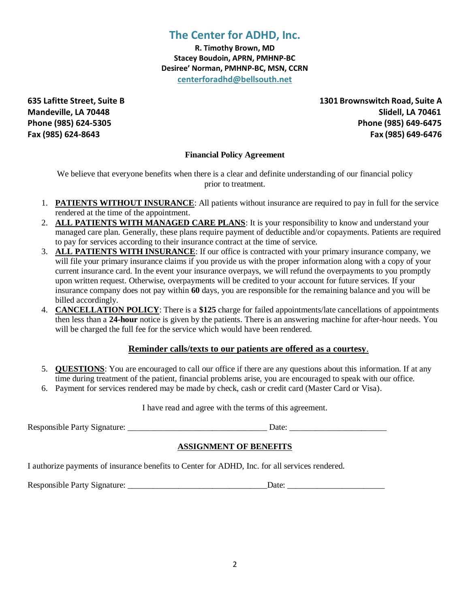**R. Timothy Brown, MD Stacey Boudoin, APRN, PMHNP-BC Desiree' Norman, PMHNP-BC, MSN, CCRN centerforadhd@bellsouth.net**

**635 Lafitte Street, Suite B 1301 Brownswitch Road, Suite A Mandeville, LA 70448 Slidell, LA 70461 Phone (985) 624-5305 Phone (985) 649-6475 Fax (985) 624-8643 Fax (985) 649-6476**

### **Financial Policy Agreement**

We believe that everyone benefits when there is a clear and definite understanding of our financial policy prior to treatment.

- 1. **PATIENTS WITHOUT INSURANCE**: All patients without insurance are required to pay in full for the service rendered at the time of the appointment.
- 2. **ALL PATIENTS WITH MANAGED CARE PLANS**: It is your responsibility to know and understand your managed care plan. Generally, these plans require payment of deductible and/or copayments. Patients are required to pay for services according to their insurance contract at the time of service.
- 3. **ALL PATIENTS WITH INSURANCE**: If our office is contracted with your primary insurance company, we will file your primary insurance claims if you provide us with the proper information along with a copy of your current insurance card. In the event your insurance overpays, we will refund the overpayments to you promptly upon written request. Otherwise, overpayments will be credited to your account for future services. If your insurance company does not pay within **60** days, you are responsible for the remaining balance and you will be billed accordingly.
- 4. **CANCELLATION POLICY**: There is a **\$125** charge for failed appointments/late cancellations of appointments then less than a **24-hour** notice is given by the patients. There is an answering machine for after-hour needs. You will be charged the full fee for the service which would have been rendered.

### **Reminder calls/texts to our patients are offered as a courtesy**.

- 5. **QUESTIONS**: You are encouraged to call our office if there are any questions about this information. If at any time during treatment of the patient, financial problems arise, you are encouraged to speak with our office.
- 6. Payment for services rendered may be made by check, cash or credit card (Master Card or Visa).

I have read and agree with the terms of this agreement.

Responsible Party Signature: \_\_\_\_\_\_\_\_\_\_\_\_\_\_\_\_\_\_\_\_\_\_\_\_\_\_\_\_\_\_\_\_\_ Date: \_\_\_\_\_\_\_\_\_\_\_\_\_\_\_\_\_\_\_\_\_\_\_

### **ASSIGNMENT OF BENEFITS**

I authorize payments of insurance benefits to Center for ADHD, Inc. for all services rendered.

Responsible Party Signature:  $\Box$  Date: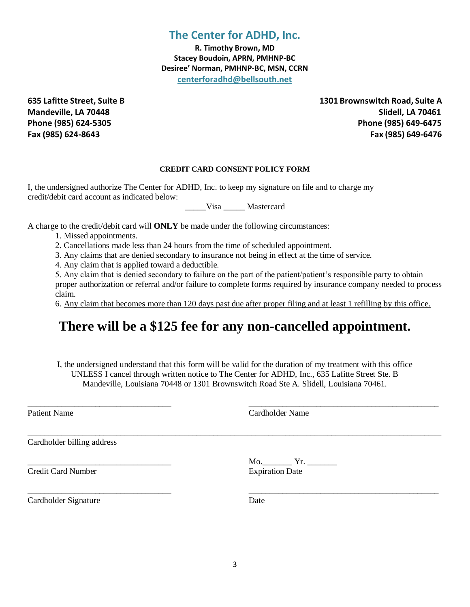**R. Timothy Brown, MD Stacey Boudoin, APRN, PMHNP-BC Desiree' Norman, PMHNP-BC, MSN, CCRN centerforadhd@bellsouth.net**

**635 Lafitte Street, Suite B 1301 Brownswitch Road, Suite A Mandeville, LA 70448 Slidell, LA 70461 Phone (985) 624-5305 Phone (985) 649-6475 Fax (985) 624-8643 Fax (985) 649-6476**

#### **CREDIT CARD CONSENT POLICY FORM**

I, the undersigned authorize The Center for ADHD, Inc. to keep my signature on file and to charge my credit/debit card account as indicated below:

\_\_\_\_\_Visa \_\_\_\_\_ Mastercard

A charge to the credit/debit card will **ONLY** be made under the following circumstances:

1. Missed appointments.

2. Cancellations made less than 24 hours from the time of scheduled appointment.

3. Any claims that are denied secondary to insurance not being in effect at the time of service.

4. Any claim that is applied toward a deductible.

5. Any claim that is denied secondary to failure on the part of the patient/patient's responsible party to obtain proper authorization or referral and/or failure to complete forms required by insurance company needed to process claim.

6. Any claim that becomes more than 120 days past due after proper filing and at least 1 refilling by this office.

# **There will be a \$125 fee for any non-cancelled appointment.**

I, the undersigned understand that this form will be valid for the duration of my treatment with this office UNLESS I cancel through written notice to The Center for ADHD, Inc., 635 Lafitte Street Ste. B Mandeville, Louisiana 70448 or 1301 Brownswitch Road Ste A. Slidell, Louisiana 70461.

\_\_\_\_\_\_\_\_\_\_\_\_\_\_\_\_\_\_\_\_\_\_\_\_\_\_\_\_\_\_\_\_\_\_ \_\_\_\_\_\_\_\_\_\_\_\_\_\_\_\_\_\_\_\_\_\_\_\_\_\_\_\_\_\_\_\_\_\_\_\_\_\_\_\_\_\_\_\_\_

\_\_\_\_\_\_\_\_\_\_\_\_\_\_\_\_\_\_\_\_\_\_\_\_\_\_\_\_\_\_\_\_\_\_\_\_\_\_\_\_\_\_\_\_\_\_\_\_\_\_\_\_\_\_\_\_\_\_\_\_\_\_\_\_\_\_\_\_\_\_\_\_\_\_\_\_\_\_\_\_\_\_\_\_\_\_\_\_\_\_\_\_\_\_\_\_\_\_

\_\_\_\_\_\_\_\_\_\_\_\_\_\_\_\_\_\_\_\_\_\_\_\_\_\_\_\_\_\_\_\_\_\_ \_\_\_\_\_\_\_\_\_\_\_\_\_\_\_\_\_\_\_\_\_\_\_\_\_\_\_\_\_\_\_\_\_\_\_\_\_\_\_\_\_\_\_\_\_

Patient Name Cardholder Name Cardholder Name

Cardholder billing address

Credit Card Number Expiration Date

\_\_\_\_\_\_\_\_\_\_\_\_\_\_\_\_\_\_\_\_\_\_\_\_\_\_\_\_\_\_\_\_\_\_ Mo.\_\_\_\_\_\_\_ Yr. \_\_\_\_\_\_\_

Cardholder Signature Date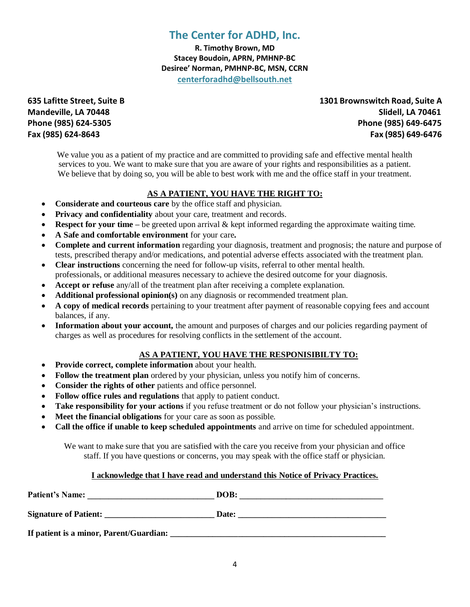**R. Timothy Brown, MD Stacey Boudoin, APRN, PMHNP-BC Desiree' Norman, PMHNP-BC, MSN, CCRN centerforadhd@bellsouth.net**

**635 Lafitte Street, Suite B 1301 Brownswitch Road, Suite A Mandeville, LA 70448 Slidell, LA 70461 Phone (985) 624-5305 Phone (985) 649-6475 Fax (985) 624-8643 Fax (985) 649-6476**

We value you as a patient of my practice and are committed to providing safe and effective mental health services to you. We want to make sure that you are aware of your rights and responsibilities as a patient. We believe that by doing so, you will be able to best work with me and the office staff in your treatment.

### **AS A PATIENT, YOU HAVE THE RIGHT TO:**

- **Considerate and courteous care** by the office staff and physician.
- **Privacy and confidentiality** about your care, treatment and records.
- **Respect for your time** be greeted upon arrival & kept informed regarding the approximate waiting time.
- **A Safe and comfortable environment** for your care**.**
- **Complete and current information** regarding your diagnosis, treatment and prognosis; the nature and purpose of tests, prescribed therapy and/or medications, and potential adverse effects associated with the treatment plan.
- **Clear instructions** concerning the need for follow-up visits, referral to other mental health. professionals, or additional measures necessary to achieve the desired outcome for your diagnosis.
- **Accept or refuse** any/all of the treatment plan after receiving a complete explanation.
- **Additional professional opinion(s)** on any diagnosis or recommended treatment plan.
- **A copy of medical records** pertaining to your treatment after payment of reasonable copying fees and account balances, if any.
- **Information about your account,** the amount and purposes of charges and our policies regarding payment of charges as well as procedures for resolving conflicts in the settlement of the account.

### **AS A PATIENT, YOU HAVE THE RESPONISIBILTY TO:**

- **Provide correct, complete information** about your health.
- **Follow the treatment plan** ordered by your physician, unless you notify him of concerns.
- **Consider the rights of other** patients and office personnel.
- **Follow office rules and regulations** that apply to patient conduct.
- **Take responsibility for your actions** if you refuse treatment or do not follow your physician's instructions.
- **Meet the financial obligations** for your care as soon as possible.
- **Call the office if unable to keep scheduled appointments** and arrive on time for scheduled appointment.

We want to make sure that you are satisfied with the care you receive from your physician and office staff. If you have questions or concerns, you may speak with the office staff or physician.

#### **I acknowledge that I have read and understand this Notice of Privacy Practices.**

| <b>Patient's Name:</b>                  | DOB:  |
|-----------------------------------------|-------|
| <b>Signature of Patient:</b>            | Date: |
| If patient is a minor, Parent/Guardian: |       |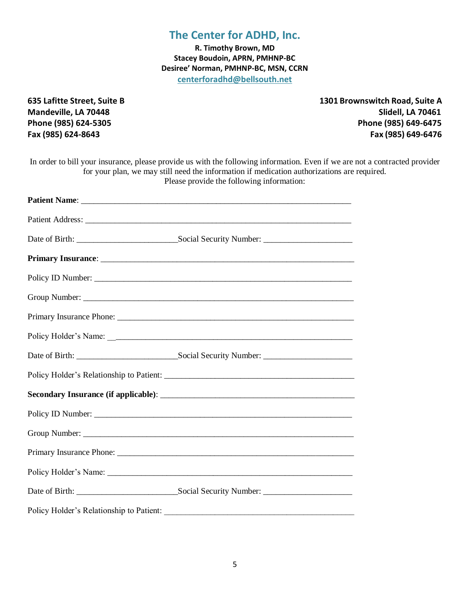**R. Timothy Brown, MD Stacey Boudoin, APRN, PMHNP-BC Desiree' Norman, PMHNP-BC, MSN, CCRN centerforadhd@bellsouth.net**

**635 Lafitte Street, Suite B 1301 Brownswitch Road, Suite A Mandeville, LA 70448 Slidell, LA 70461 Phone (985) 624-5305 Phone (985) 649-6475 Fax (985) 624-8643 Fax (985) 649-6476**

| In order to bill your insurance, please provide us with the following information. Even if we are not a contracted provider<br>for your plan, we may still need the information if medication authorizations are required.<br>Please provide the following information: |  |
|-------------------------------------------------------------------------------------------------------------------------------------------------------------------------------------------------------------------------------------------------------------------------|--|
|                                                                                                                                                                                                                                                                         |  |
|                                                                                                                                                                                                                                                                         |  |
|                                                                                                                                                                                                                                                                         |  |
|                                                                                                                                                                                                                                                                         |  |
|                                                                                                                                                                                                                                                                         |  |
|                                                                                                                                                                                                                                                                         |  |
|                                                                                                                                                                                                                                                                         |  |
|                                                                                                                                                                                                                                                                         |  |
|                                                                                                                                                                                                                                                                         |  |
|                                                                                                                                                                                                                                                                         |  |
|                                                                                                                                                                                                                                                                         |  |
|                                                                                                                                                                                                                                                                         |  |
|                                                                                                                                                                                                                                                                         |  |
|                                                                                                                                                                                                                                                                         |  |
|                                                                                                                                                                                                                                                                         |  |
|                                                                                                                                                                                                                                                                         |  |
|                                                                                                                                                                                                                                                                         |  |